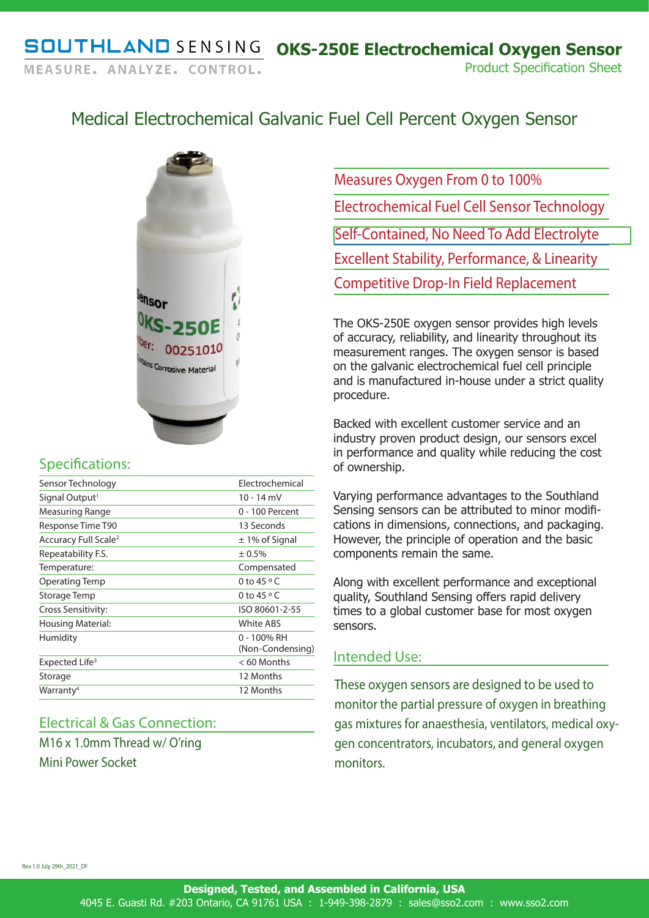## Medical Electrochemical Galvanic Fuel Cell Percent Oxygen Sensor



## Specifications:

| Sensor Technology                | Flectrochemical                 |
|----------------------------------|---------------------------------|
| Signal Output <sup>1</sup>       | 10 - 14 mV                      |
| Measuring Range                  | 0 - 100 Percent                 |
| Response Time T90                | 13 Seconds                      |
| Accuracy Full Scale <sup>2</sup> | $\pm$ 1% of Signal              |
| Repeatability F.S.               | ± 0.5%                          |
| Temperature:                     | Compensated                     |
| Operating Temp                   | 0 to $45^{\circ}$ C             |
| Storage Temp                     | 0 to $45^{\circ}$ C             |
| Cross Sensitivity:               | ISO 80601-2-55                  |
| Housing Material:                | White ABS                       |
| Humidity                         | 0 - 100% RH<br>(Non-Condensing) |
| Expected Life <sup>3</sup>       | $< 60$ Months                   |
| Storage                          | 12 Months                       |
| Warranty <sup>4</sup>            | 12 Months                       |
|                                  |                                 |

## Electrical & Gas Connection:

M16 x 1.0mm Thread w/ O'ring

Mini Power Socket

Measures Oxygen From 0 to 100% Electrochemical Fuel Cell Sensor Technology Self-Contained, No Need To Add Electrolyte Excellent Stability, Performance, & Linearity Competitive Drop-In Field Replacement

The OKS-250E oxygen sensor provides high levels of accuracy, reliability, and linearity throughout its measurement ranges. The oxygen sensor is based on the galvanic electrochemical fuel cell principle and is manufactured in-house under a strict quality procedure.

Backed with excellent customer service and an industry proven product design, our sensors excel in performance and quality while reducing the cost of ownership.

Varying performance advantages to the Southland Sensing sensors can be attributed to minor modifications in dimensions, connections, and packaging. However, the principle of operation and the basic components remain the same.

Along with excellent performance and exceptional quality, Southland Sensing offers rapid delivery times to a global customer base for most oxygen sensors.

## Intended Use:

These oxygen sensors are designed to be used to monitor the partial pressure of oxygen in breathing gas mixtures for anaesthesia, ventilators, medical oxygen concentrators, incubators, and general oxygen monitors.

Rev 1.0 July 29th\_2021\_DF